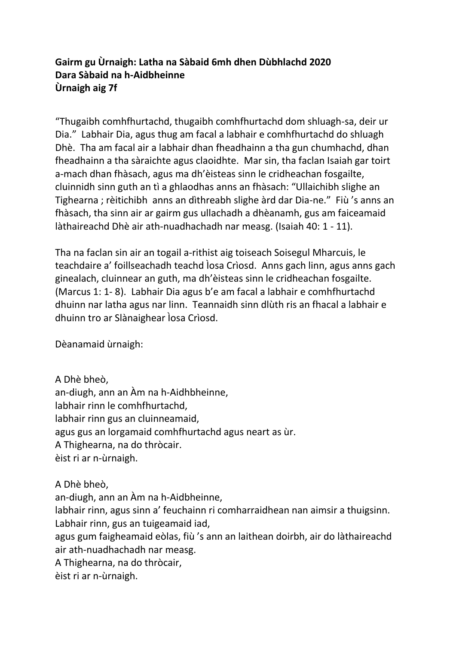## **Gairm gu Ùrnaigh: Latha na Sàbaid 6mh dhen Dùbhlachd 2020 Dara Sàbaid na h-Aidbheinne Ùrnaigh aig 7f**

"Thugaibh comhfhurtachd, thugaibh comhfhurtachd dom shluagh-sa, deir ur Dia." Labhair Dia, agus thug am facal a labhair e comhfhurtachd do shluagh Dhè. Tha am facal air a labhair dhan fheadhainn a tha gun chumhachd, dhan fheadhainn a tha sàraichte agus claoidhte. Mar sin, tha faclan Isaiah gar toirt a-mach dhan fhàsach, agus ma dh'èisteas sinn le cridheachan fosgailte, cluinnidh sinn guth an tì a ghlaodhas anns an fhàsach: "Ullaichibh slighe an Tighearna ; rèitichibh anns an dìthreabh slighe àrd dar Dia-ne." Fiù 's anns an fhàsach, tha sinn air ar gairm gus ullachadh a dhèanamh, gus am faiceamaid làthaireachd Dhè air ath-nuadhachadh nar measg. (Isaiah 40: 1 - 11).

Tha na faclan sin air an togail a-rithist aig toiseach Soisegul Mharcuis, le teachdaire a' foillseachadh teachd Ìosa Crìosd. Anns gach linn, agus anns gach ginealach, cluinnear an guth, ma dh'èisteas sinn le cridheachan fosgailte. (Marcus 1: 1- 8). Labhair Dia agus b'e am facal a labhair e comhfhurtachd dhuinn nar latha agus nar linn. Teannaidh sinn dlùth ris an fhacal a labhair e dhuinn tro ar Slànaighear Ìosa Crìosd.

Dèanamaid ùrnaigh:

A Dhè bheò, an-diugh, ann an Àm na h-Aidhbheinne, labhair rinn le comhfhurtachd, labhair rinn gus an cluinneamaid, agus gus an lorgamaid comhfhurtachd agus neart as ùr. A Thighearna, na do thròcair. èist ri ar n-ùrnaigh.

A Dhè bheò,

an-diugh, ann an Àm na h-Aidbheinne, labhair rinn, agus sinn a' feuchainn ri comharraidhean nan aimsir a thuigsinn.

Labhair rinn, gus an tuigeamaid iad,

agus gum faigheamaid eòlas, fiù 's ann an laithean doirbh, air do làthaireachd air ath-nuadhachadh nar measg.

A Thighearna, na do thròcair,

èist ri ar n-ùrnaigh.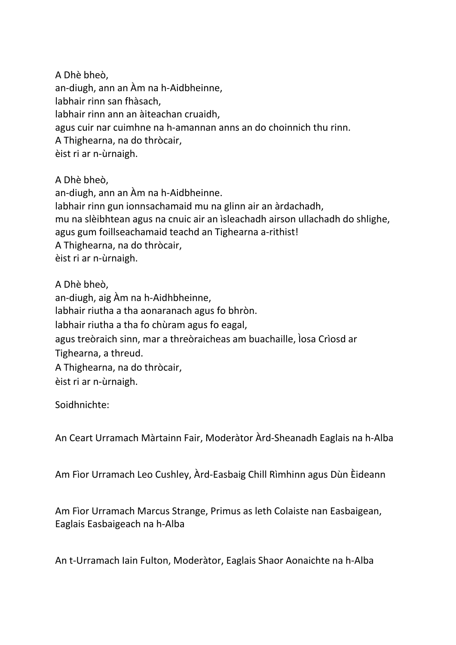A Dhè bheò, an-diugh, ann an Àm na h-Aidbheinne, labhair rinn san fhàsach, labhair rinn ann an àiteachan cruaidh, agus cuir nar cuimhne na h-amannan anns an do choinnich thu rinn. A Thighearna, na do thròcair, èist ri ar n-ùrnaigh.

A Dhè bheò, an-diugh, ann an Àm na h-Aidbheinne. labhair rinn gun ionnsachamaid mu na glinn air an àrdachadh, mu na slèibhtean agus na cnuic air an ìsleachadh airson ullachadh do shlighe, agus gum foillseachamaid teachd an Tighearna a-rithist! A Thighearna, na do thròcair, èist ri ar n-ùrnaigh.

A Dhè bheò, an-diugh, aig Àm na h-Aidhbheinne, labhair riutha a tha aonaranach agus fo bhròn. labhair riutha a tha fo chùram agus fo eagal, agus treòraich sinn, mar a threòraicheas am buachaille, Ìosa Crìosd ar Tighearna, a threud. A Thighearna, na do thròcair, èist ri ar n-ùrnaigh.

Soidhnichte:

An Ceart Urramach Màrtainn Fair, Moderàtor Àrd-Sheanadh Eaglais na h-Alba

Am Fìor Urramach Leo Cushley, Àrd-Easbaig Chill Rìmhinn agus Dùn Èideann

Am Fìor Urramach Marcus Strange, Primus as leth Colaiste nan Easbaigean, Eaglais Easbaigeach na h-Alba

An t-Urramach Iain Fulton, Moderàtor, Eaglais Shaor Aonaichte na h-Alba